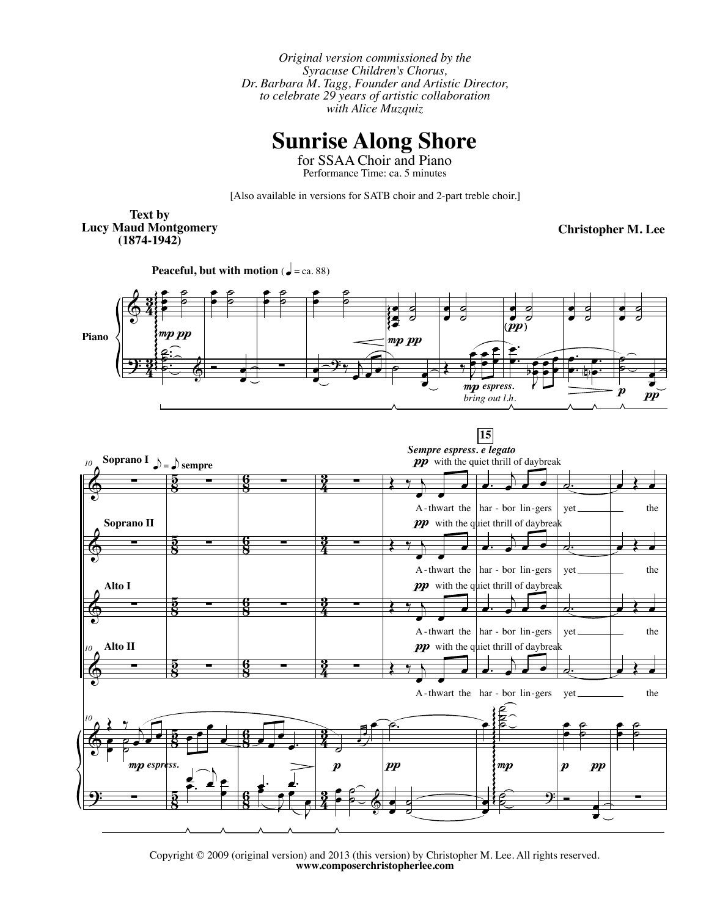*Original version commissioned by the Syracuse Children's Chorus, Dr. Barbara M. Tagg, Founder and Artistic Director, to celebrate 29 years of artistic collaboration with Alice Muzquiz*

## **Sunrise Along Shore**

for SSAA Choir and Piano Performance Time: ca. 5 minutes

[Also available in versions for SATB choir and 2-part treble choir.]

**Text by Lucy Maud Montgomery (1874-1942)**

**Christopher M. Lee**

**Peaceful, but with motion**  $\left(\right)$  **= ca. 88)** 





Copyright © 2009 (original version) and 2013 (this version) by Christopher M. Lee. All rights reserved. **www.composerchristopherlee.com**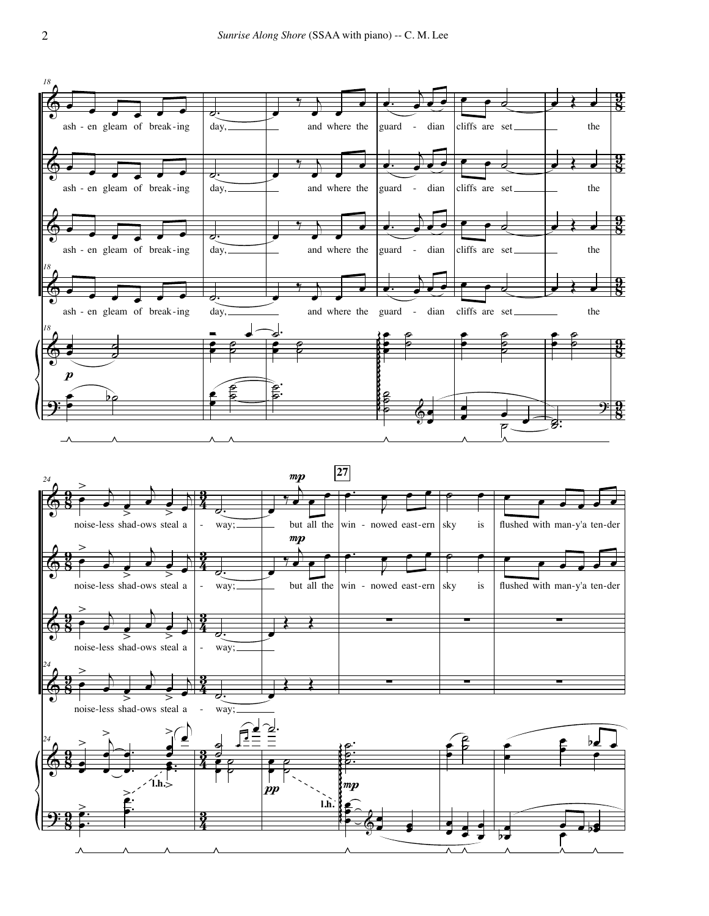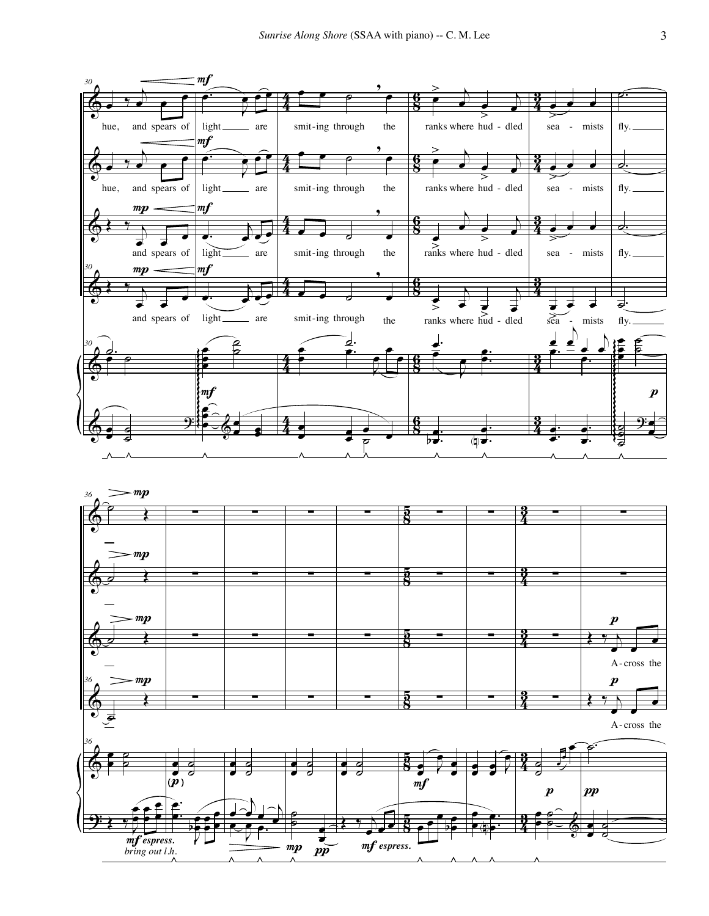

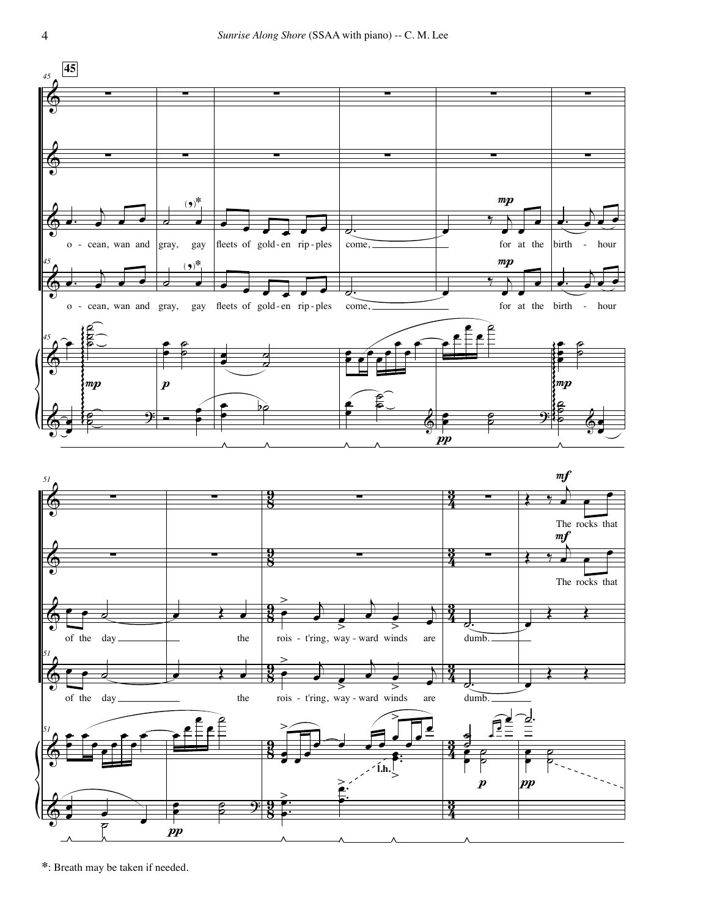

**\***: Breath may be taken if needed.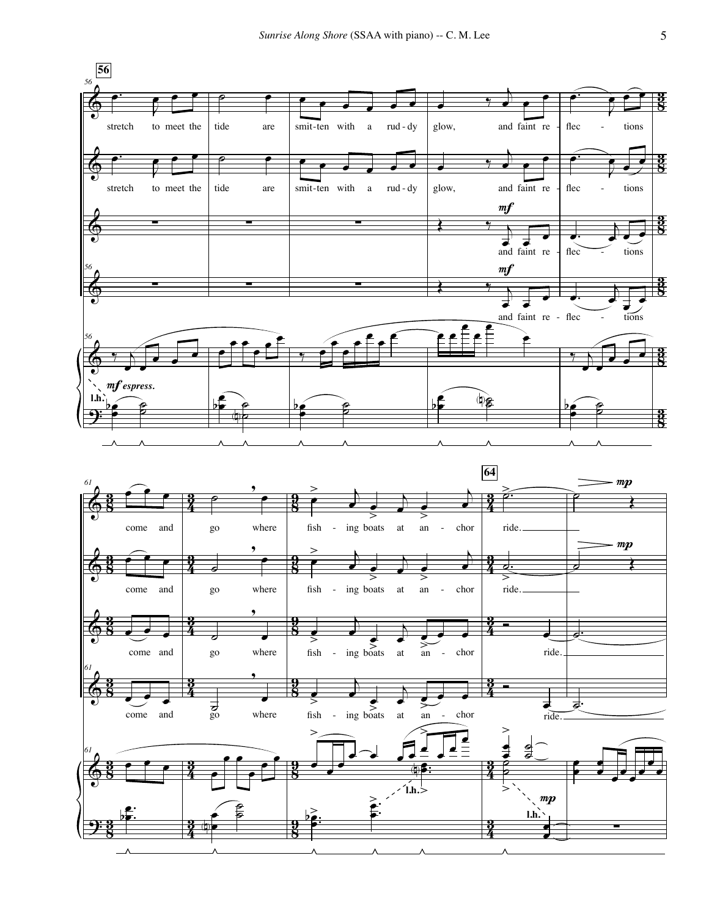